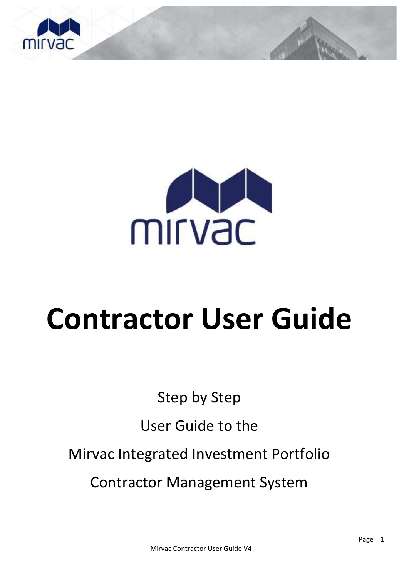



# **Contractor User Guide**

Step by Step

# User Guide to the

Mirvac Integrated Investment Portfolio

Contractor Management System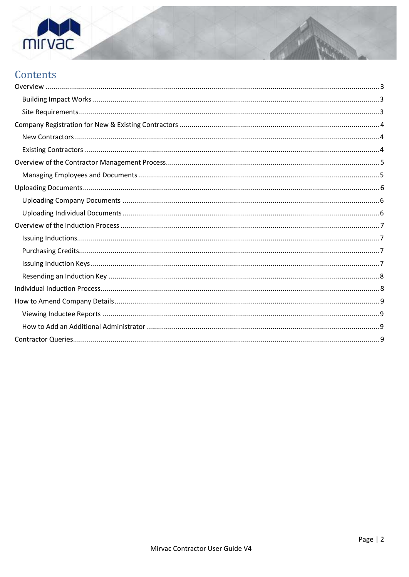

# Contents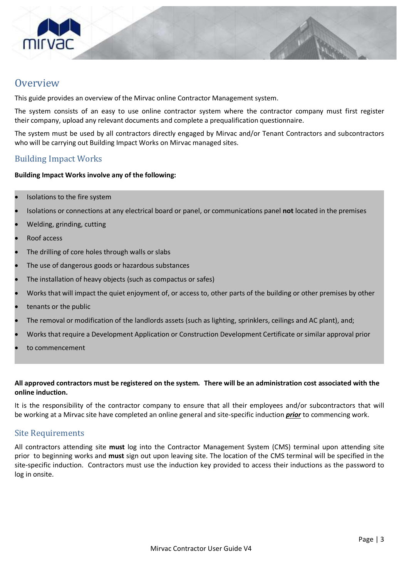

## <span id="page-2-0"></span>**Overview**

This guide provides an overview of the Mirvac online Contractor Management system.

The system consists of an easy to use online contractor system where the contractor company must first register their company, upload any relevant documents and complete a prequalification questionnaire.

The system must be used by all contractors directly engaged by Mirvac and/or Tenant Contractors and subcontractors who will be carrying out Building Impact Works on Mirvac managed sites.

#### <span id="page-2-1"></span>Building Impact Works

#### **Building Impact Works involve any of the following:**

- Isolations to the fire system
- Isolations or connections at any electrical board or panel, or communications panel **not** located in the premises
- Welding, grinding, cutting
- Roof access
- The drilling of core holes through walls or slabs
- The use of dangerous goods or hazardous substances
- The installation of heavy objects (such as compactus or safes)
- Works that will impact the quiet enjoyment of, or access to, other parts of the building or other premises by other
- tenants or the public
- The removal or modification of the landlords assets (such as lighting, sprinklers, ceilings and AC plant), and;
- Works that require a Development Application or Construction Development Certificate or similar approval prior
- to commencement

#### **All approved contractors must be registered on the system. There will be an administration cost associated with the online induction.**

It is the responsibility of the contractor company to ensure that all their employees and/or subcontractors that will be working at a Mirvac site have completed an online general and site-specific induction *prior* to commencing work.

#### <span id="page-2-2"></span>Site Requirements

All contractors attending site **must** log into the Contractor Management System (CMS) terminal upon attending site prior to beginning works and **must** sign out upon leaving site. The location of the CMS terminal will be specified in the site-specific induction. Contractors must use the induction key provided to access their inductions as the password to log in onsite.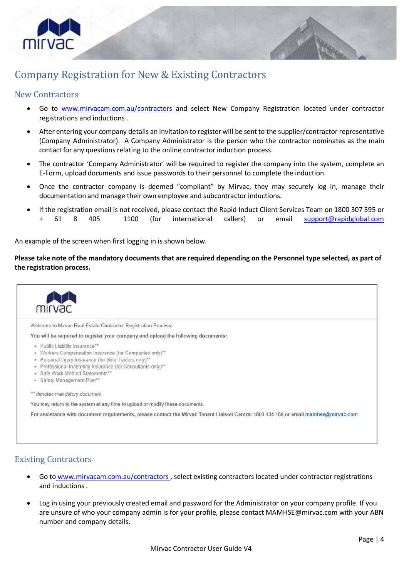

# <span id="page-3-0"></span>Company Registration for New & Existing Contractors

### <span id="page-3-1"></span>New Contractors

- Go to www.mirvacam.com.au/contractors and select New Company Registration located under contractor registrations and inductions .
- After entering your company details an invitation to register will be sentto the supplier/contractor representative (Company Administrator). A Company Administrator is the person who the contractor nominates as the main contact for any questions relating to the online contractor induction process.
- The contractor 'Company Administrator' will be required to register the company into the system, complete an E-Form, upload documents and issue passwords to their personnel to complete the induction.
- Once the contractor company is deemed "compliant" by Mirvac, they may securely log in, manage their documentation and manage their own employee and subcontractor inductions.
- If the registration email is not received, please contact the Rapid Induct Client Services Team on 1800 307 595 or + 61 8 405 1100 (for international callers) or email [support@rapidglobal.com](mailto:support@rapidinduct.com.au)

An example of the screen when first logging in is shown below.

**Please take note of the mandatory documents that are required depending on the Personnel type selected, as part of the registration process.** 



## <span id="page-3-2"></span>Existing Contractors

- Go to www.mirvacam.com.au/contractors , select existing contractors located under contractor registrations and inductions .
- Log in using your previously created email and password for the Administrator on your company profile. If you are unsure of who your company admin is for your profile, please contac[t MAMHSE@mirvac.com](mailto:MAMHSE@mirvac.com) with your ABN number and company details.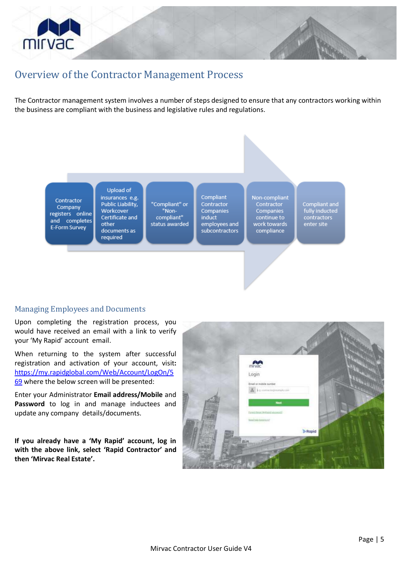

# <span id="page-4-0"></span>Overview of the Contractor Management Process

The Contractor management system involves a number of steps designed to ensure that any contractors working within the business are compliant with the business and legislative rules and regulations.

Contractor Company registers online and completes E-Form Survey

**Upload of** insurances e.g. Public Liability, Workcover Certificate and other documents as required

"Compliant" or "Noncompliant" status awarded Compliant Contractor Companies induct employees and subcontractors

Non-compliant Contractor Companies continue to work towards compliance

Compliant and<br>fully inducted<br>contractors enter site

#### <span id="page-4-1"></span>Managing Employees and Documents

Upon completing the registration process, you would have received an email with a link to verify your 'My Rapid' account email.

When returning to the system after successful registration and activation of your account, visit**:** [https://my.rapidglobal.com/Web/Account/LogOn/5](https://my.rapidglobal.com/Web/Account/LogOn/569) [69](https://my.rapidglobal.com/Web/Account/LogOn/569) where the below screen will be presented:

Enter your Administrator **Email address/Mobile** and **Password** to log in and manage inductees and update any company details/documents.

**If you already have a 'My Rapid' account, log in with the above link, select 'Rapid Contractor' and then 'Mirvac Real Estate'.** 

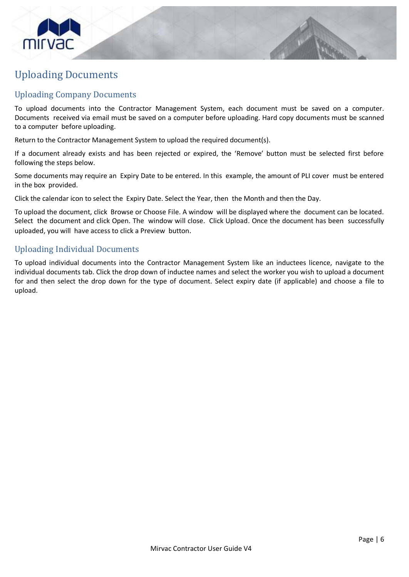

# <span id="page-5-0"></span>Uploading Documents

#### <span id="page-5-1"></span>Uploading Company Documents

To upload documents into the Contractor Management System, each document must be saved on a computer. Documents received via email must be saved on a computer before uploading. Hard copy documents must be scanned to a computer before uploading.

Return to the Contractor Management System to upload the required document(s).

If a document already exists and has been rejected or expired, the 'Remove' button must be selected first before following the steps below.

Some documents may require an Expiry Date to be entered. In this example, the amount of PLI cover must be entered in the box provided.

Click the calendar icon to select the Expiry Date. Select the Year, then the Month and then the Day.

To upload the document, click Browse or Choose File. A window will be displayed where the document can be located. Select the document and click Open. The window will close. Click Upload. Once the document has been successfully uploaded, you will have access to click a Preview button.

#### <span id="page-5-2"></span>Uploading Individual Documents

To upload individual documents into the Contractor Management System like an inductees licence, navigate to the individual documents tab. Click the drop down of inductee names and select the worker you wish to upload a document for and then select the drop down for the type of document. Select expiry date (if applicable) and choose a file to upload.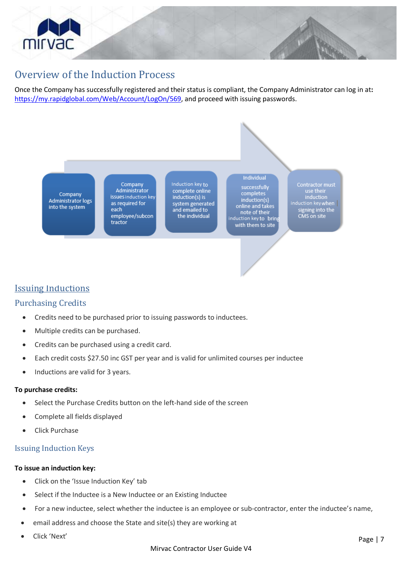

## <span id="page-6-0"></span>Overview of the Induction Process

Once the Company has successfully registered and their status is compliant, the Company Administrator can log in at**:** [https://my.rapidglobal.com/Web/Account/LogOn/569,](https://my.rapidglobal.com/Web/Account/LogOn/569) and proceed with issuing passwords.

Company **Administrator logs** into the system

Company Administrator issues induction key as required for each employee/subcon tractor

Induction key to complete online induction(s) is system generated<br>and emailed to the individual

successfully completes induction(s) online and takes note of their<br>induction key to Sbring with them to site

Individual

Contractor must<br>use their induction<br>| induction<br>| signing into the<br>| signing into the CMS on site

## <span id="page-6-1"></span>Issuing Inductions

#### Purchasing Credits

- <span id="page-6-2"></span>• Credits need to be purchased prior to issuing passwords to inductees.
- Multiple credits can be purchased.
- Credits can be purchased using a credit card.
- Each credit costs \$27.50 inc GST per year and is valid for unlimited courses per inductee
- Inductions are valid for 3 years.

#### **To purchase credits:**

- Select the Purchase Credits button on the left-hand side of the screen
- Complete all fields displayed
- Click Purchase

#### <span id="page-6-3"></span>Issuing Induction Keys

#### **To issue an induction key:**

- Click on the 'Issue Induction Key' tab
- Select if the Inductee is a New Inductee or an Existing Inductee
- For a new inductee, select whether the inductee is an employee or sub-contractor, enter the inductee's name,
- email address and choose the State and site(s) they are working at
- Click 'Next'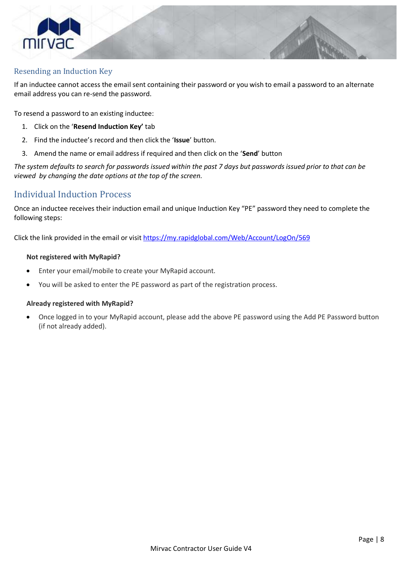

#### Resending an Induction Key

<span id="page-7-0"></span>If an inductee cannot access the email sent containing their password or you wish to email a password to an alternate email address you can re-send the password.

To resend a password to an existing inductee:

- 1. Click on the '**Resend Induction Key'** tab
- 2. Find the inductee's record and then click the '**Issue**' button.
- 3. Amend the name or email address if required and then click on the '**Send**' button

*The system defaults to search for passwords issued within the past 7 days but passwords issued prior to that can be viewed by changing the date options at the top of the screen.* 

#### Individual Induction Process

<span id="page-7-1"></span>Once an inductee receives their induction email and unique Induction Key "PE" password they need to complete the following steps:

Click the link provided in the email or visit https://my.rapidglobal.com/Web/Account/LogOn/569

#### **Not registered with MyRapid?**

- Enter your email/mobile to create your MyRapid account.
- You will be asked to enter the PE password as part of the registration process.

#### **Already registered with MyRapid?**

• Once logged in to your MyRapid account, please add the above PE password using the Add PE Password button (if not already added).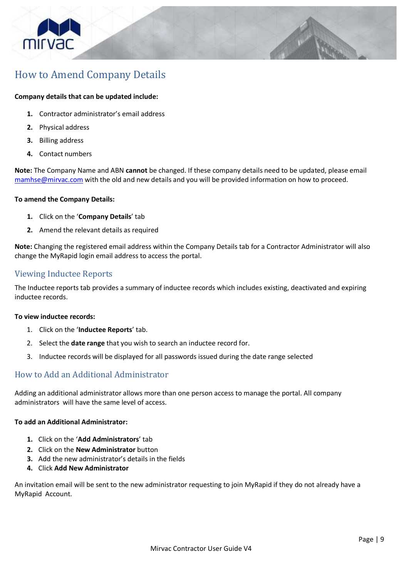

# <span id="page-8-0"></span>How to Amend Company Details

#### **Company details that can be updated include:**

- **1.** Contractor administrator's email address
- **2.** Physical address
- **3.** Billing address
- **4.** Contact numbers

**Note:** The Company Name and ABN **cannot** be changed. If these company details need to be updated, please email [mamhse@mirvac.com](mailto:mamhse@mirvac.com) with the old and new details and you will be provided information on how to proceed.

#### **To amend the Company Details:**

- **1.** Click on the '**Company Details**' tab
- **2.** Amend the relevant details as required

**Note:** Changing the registered email address within the Company Details tab for a Contractor Administrator will also change the MyRapid login email address to access the portal.

#### <span id="page-8-1"></span>Viewing Inductee Reports

The Inductee reports tab provides a summary of inductee records which includes existing, deactivated and expiring inductee records.

#### **To view inductee records:**

- 1. Click on the '**Inductee Reports**' tab.
- 2. Select the **date range** that you wish to search an inductee record for.
- 3. Inductee records will be displayed for all passwords issued during the date range selected

#### <span id="page-8-2"></span>How to Add an Additional Administrator

Adding an additional administrator allows more than one person access to manage the portal. All company administrators will have the same level of access.

#### **To add an Additional Administrator:**

- **1.** Click on the '**Add Administrators**' tab
- **2.** Click on the **New Administrator** button
- **3.** Add the new administrator's details in the fields
- **4.** Click **Add New Administrator**

<span id="page-8-3"></span>An invitation email will be sent to the new administrator requesting to join MyRapid if they do not already have a MyRapid Account.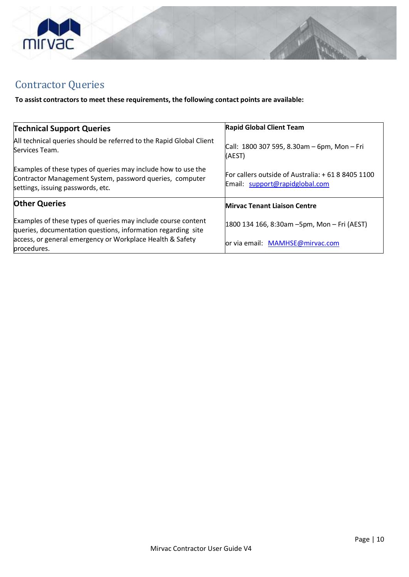

# Contractor Queries

**To assist contractors to meet these requirements, the following contact points are available:**

| <b>Technical Support Queries</b>                                                                                                                               | <b>Rapid Global Client Team</b>                                                     |
|----------------------------------------------------------------------------------------------------------------------------------------------------------------|-------------------------------------------------------------------------------------|
|                                                                                                                                                                |                                                                                     |
| All technical queries should be referred to the Rapid Global Client<br>Services Team.                                                                          | Call: $1800$ 307 595, 8.30am - 6pm, Mon - Fri<br>(AEST)                             |
| Examples of these types of queries may include how to use the<br>Contractor Management System, password queries, computer<br>settings, issuing passwords, etc. | For callers outside of Australia: +61 8 8405 1100<br>Email: support@rapidglobal.com |
| <b>Other Queries</b>                                                                                                                                           | <b>Mirvac Tenant Liaison Centre</b>                                                 |
| Examples of these types of queries may include course content<br>queries, documentation questions, information regarding site                                  | 1800 134 166, 8:30am -5pm, Mon - Fri (AEST)                                         |
| access, or general emergency or Workplace Health & Safety<br>procedures.                                                                                       | or via email: MAMHSE@mirvac.com                                                     |